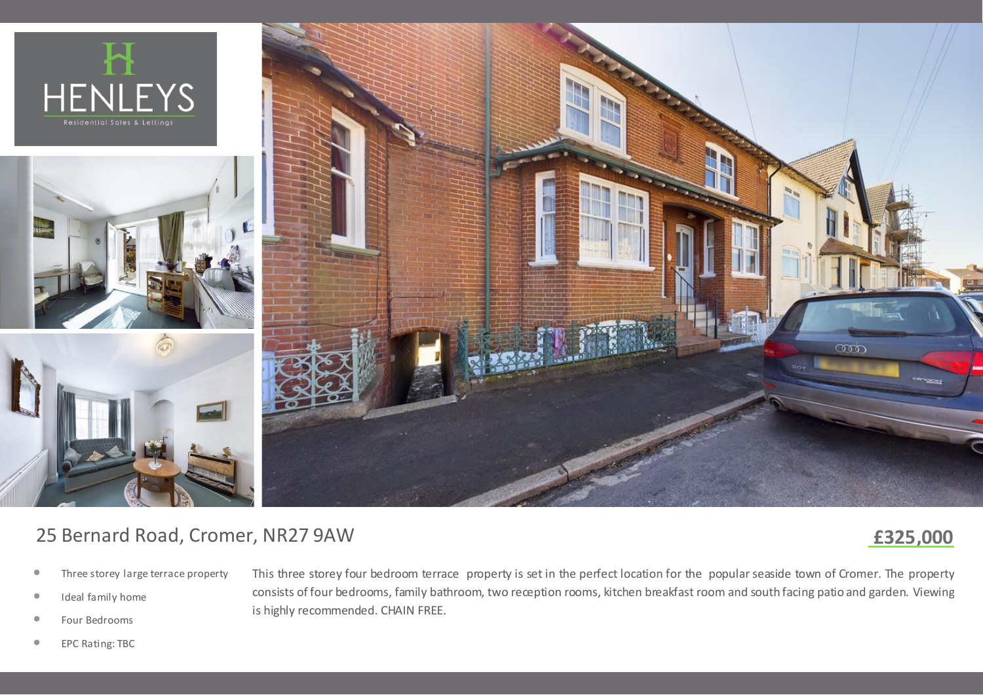







# 25 Bernard Road, Cromer, NR27 9AW

## **£325,000**

- *•* Three storey large terrace property
- *•* Ideal family home
- *•* Four Bedrooms

This three storey four bedroom terrace property is set in the perfect location for the popular seaside town of Cromer. The property consists of four bedrooms, family bathroom, two reception rooms, kitchen breakfast room and south facing patio and garden. Viewing is highly recommended. CHAIN FREE.

*•* EPC Rating: TBC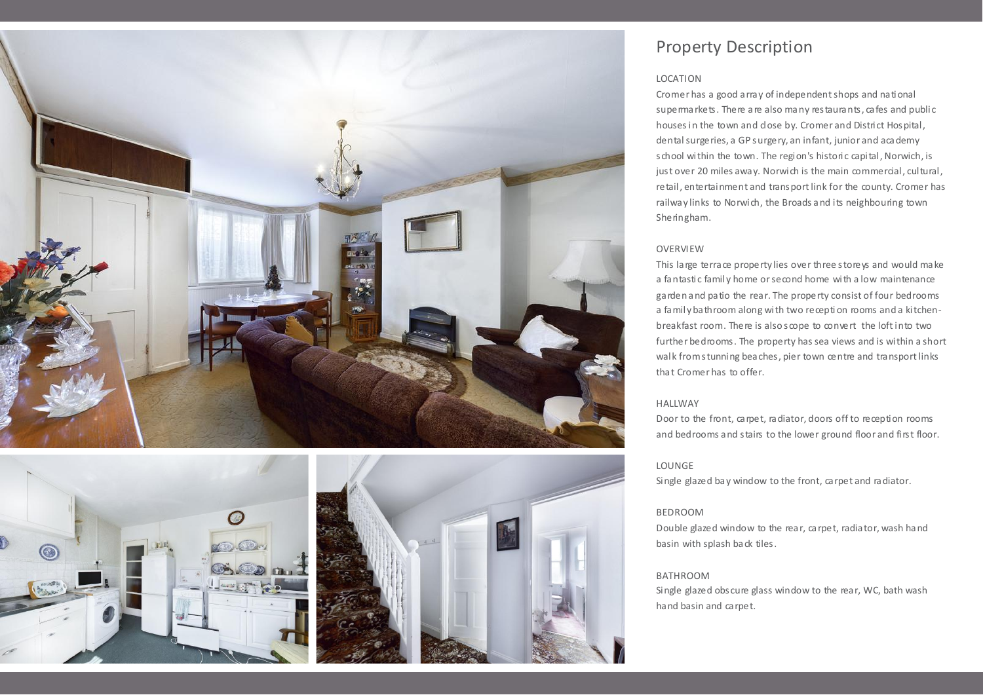



### Property Description

#### LOCATION

Cromer has a good array of independent shops and national supermarkets. There are also many restaurants, cafes and public houses in the town and dose by. Cromer and District Hospital, dental surgeries, a GP surgery, an infant, junior and academy school within the town. The region's historic capital, Norwich, is just over 20 miles away. Norwich is the main commercial, cultural, retail, entertainment and transport link for the county. Cromer has railway links to Norwich, the Broads and its neighbouring town Sheringham.

#### **OVERVIEW**

This large terrace property lies over three store is and would make a fantastic family home or second home with a low maintenance garden and patio the rear. The property consist of four bedrooms a family bathroom along with two recepti on rooms and a kitchenbreakfast room. There is also scope to convert the loft into two further bedrooms. The property has sea views and is within a short walk from stunning beaches, pier town centre and transport links that Cromer has to offer.

#### HALLWAY

Door to the front, carpet, radiator, doors off to reception rooms and bedrooms and stairs to the lower ground floor and first floor.

#### LOUNGE

Single glazed bay window to the front, carpet and radiator.

#### BEDROOM

Double glazed window to the rear, carpet, radiator, wash hand basin with splash back tiles.

#### BATHROOM

Single glazed obscure glass window to the rear, WC, bath wash hand basin and carpet.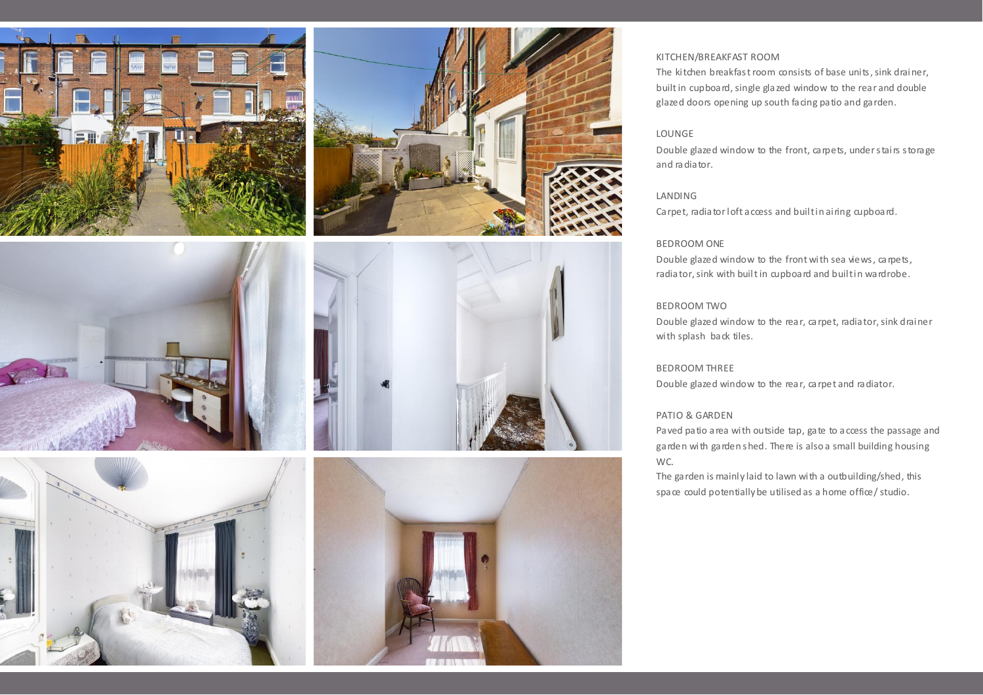







#### KITCHEN/BREAKFAST ROOM

The kitchen breakfast room consists of base units, sink drainer, built in cupboard, single glazed window to the rear and double glazed doors opening up south facing patio and garden.

#### LOUNGE

Double glazed window to the front, carpets, under stairs storage and radiator.

#### LANDING

Carpet, radiator loft access and built in airing cupboard.

#### BEDROOM ONE

Double glazed window to the front with sea views, carpets, radiator, sink with built in cupboard and built in wardrobe.

#### BEDROOM TWO

Double glazed window to the rear, carpet, radiator, sink drainer with splash back tiles.

#### BEDROOM THREE

Double glazed window to the rear, carpet and radiator.

#### PATIO & GARDEN

Paved patio area with outside tap, gate to access the passage and garden with garden shed. There is also a small building housing WC.

The garden is mainly laid to lawn with a outbuilding/shed, this space could potentially be utilised as a home office/ studio.